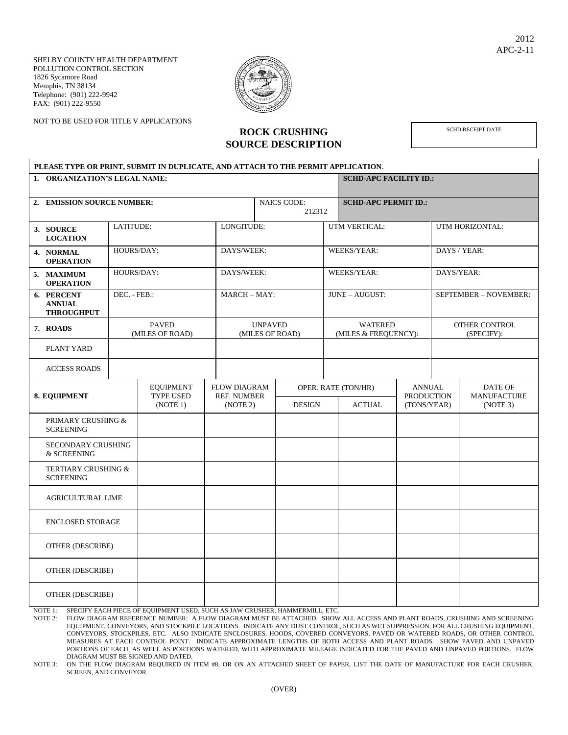SHELBY COUNTY HEALTH DEPARTMENT POLLUTION CONTROL SECTION 1826 Sycamore Road Memphis, TN 38134 Telephone: (901) 222-9942 FAX: (901) 222-9550

NOT TO BE USED FOR TITLE V APPLICATIONS



**ROCK CRUSHING SOURCE DESCRIPTION** SCHD RECEIPT DATE

| PLEASE TYPE OR PRINT, SUBMIT IN DUPLICATE, AND ATTACH TO THE PERMIT APPLICATION. |                                 |                                                  |                                                       |                              |                                        |                |                                      |                                                   |                 |                                           |  |
|----------------------------------------------------------------------------------|---------------------------------|--------------------------------------------------|-------------------------------------------------------|------------------------------|----------------------------------------|----------------|--------------------------------------|---------------------------------------------------|-----------------|-------------------------------------------|--|
| 1. ORGANIZATION'S LEGAL NAME:                                                    |                                 |                                                  |                                                       |                              |                                        |                | <b>SCHD-APC FACILITY ID.:</b>        |                                                   |                 |                                           |  |
| 2. EMISSION SOURCE NUMBER:                                                       |                                 |                                                  |                                                       | <b>NAICS CODE:</b><br>212312 |                                        |                | <b>SCHD-APC PERMIT ID.:</b>          |                                                   |                 |                                           |  |
| 3. SOURCE<br><b>LOCATION</b>                                                     | LATITUDE:                       |                                                  |                                                       | LONGITUDE:                   |                                        |                | UTM VERTICAL:                        |                                                   | UTM HORIZONTAL: |                                           |  |
| 4. NORMAL<br><b>OPERATION</b>                                                    | HOURS/DAY:                      |                                                  |                                                       | DAYS/WEEK:                   |                                        | WEEKS/YEAR:    |                                      | DAYS / YEAR:                                      |                 |                                           |  |
| 5. MAXIMUM<br><b>OPERATION</b>                                                   | HOURS/DAY:                      |                                                  |                                                       | DAYS/WEEK:                   |                                        | WEEKS/YEAR:    |                                      | DAYS/YEAR:                                        |                 |                                           |  |
| 6. PERCENT<br><b>ANNUAL</b><br><b>THROUGHPUT</b>                                 | DEC. - FEB.:                    |                                                  |                                                       | MARCH-MAY:                   |                                        | JUNE - AUGUST: |                                      | SEPTEMBER - NOVEMBER:                             |                 |                                           |  |
| 7. ROADS                                                                         | <b>PAVED</b><br>(MILES OF ROAD) |                                                  | <b>UNPAVED</b><br>(MILES OF ROAD)                     |                              | <b>WATERED</b><br>(MILES & FREQUENCY): |                |                                      | OTHER CONTROL<br>(SPECIFY):                       |                 |                                           |  |
| PLANT YARD                                                                       |                                 |                                                  |                                                       |                              |                                        |                |                                      |                                                   |                 |                                           |  |
| <b>ACCESS ROADS</b>                                                              |                                 |                                                  |                                                       |                              |                                        |                |                                      |                                                   |                 |                                           |  |
| 8. EQUIPMENT                                                                     |                                 | <b>EQUIPMENT</b><br><b>TYPE USED</b><br>(NOTE 1) | <b>FLOW DIAGRAM</b><br><b>REF. NUMBER</b><br>(NOTE 2) |                              | <b>DESIGN</b>                          |                | OPER. RATE (TON/HR)<br><b>ACTUAL</b> | <b>ANNUAL</b><br><b>PRODUCTION</b><br>(TONS/YEAR) |                 | DATE OF<br><b>MANUFACTURE</b><br>(NOTE 3) |  |
| PRIMARY CRUSHING &<br><b>SCREENING</b>                                           |                                 |                                                  |                                                       |                              |                                        |                |                                      |                                                   |                 |                                           |  |
| <b>SECONDARY CRUSHING</b><br>& SCREENING                                         |                                 |                                                  |                                                       |                              |                                        |                |                                      |                                                   |                 |                                           |  |
| TERTIARY CRUSHING &<br><b>SCREENING</b>                                          |                                 |                                                  |                                                       |                              |                                        |                |                                      |                                                   |                 |                                           |  |
| <b>AGRICULTURAL LIME</b>                                                         |                                 |                                                  |                                                       |                              |                                        |                |                                      |                                                   |                 |                                           |  |
| <b>ENCLOSED STORAGE</b>                                                          |                                 |                                                  |                                                       |                              |                                        |                |                                      |                                                   |                 |                                           |  |
| OTHER (DESCRIBE)                                                                 |                                 |                                                  |                                                       |                              |                                        |                |                                      |                                                   |                 |                                           |  |
| OTHER (DESCRIBE)                                                                 |                                 |                                                  |                                                       |                              |                                        |                |                                      |                                                   |                 |                                           |  |
| OTHER (DESCRIBE)                                                                 |                                 |                                                  |                                                       |                              |                                        |                |                                      |                                                   |                 |                                           |  |

NOTE 1: SPECIFY EACH PIECE OF EQUIPMENT USED, SUCH AS JAW CRUSHER, HAMMERMILL, ETC.

NOTE 2: FLOW DIAGRAM REFERENCE NUMBER: A FLOW DIAGRAM MUST BE ATTACHED. SHOW ALL ACCESS AND PLANT ROADS, CRUSHING AND SCREENING EQUIPMENT, CONVEYORS, AND STOCKPILE LOCATIONS. INDICATE ANY DUST CONTROL, SUCH AS WET SUPPRESSION, FOR ALL CRUSHING EQUIPMENT, CONVEYORS, STOCKPILES, ETC. ALSO INDICATE ENCLOSURES, HOODS, COVERED CONVEYORS, PAVED OR WATERED ROADS, OR OTHER CONTROL MEASURES AT EACH CONTROL POINT. INDICATE APPROXIMATE LENGTHS OF BOTH ACCESS AND PLANT ROADS. SHOW PAVED AND UNPAVED PORTIONS OF EACH, AS WELL AS PORTIONS WATERED, WITH APPROXIMATE MILEAGE INDICATED FOR THE PAVED AND UNPAVED PORTIONS. FLOW DIAGRAM MUST BE SIGNED AND DATED.

NOTE 3: ON THE FLOW DIAGRAM REQUIRED IN ITEM #8, OR ON AN ATTACHED SHEET OF PAPER, LIST THE DATE OF MANUFACTURE FOR EACH CRUSHER, SCREEN, AND CONVEYOR.